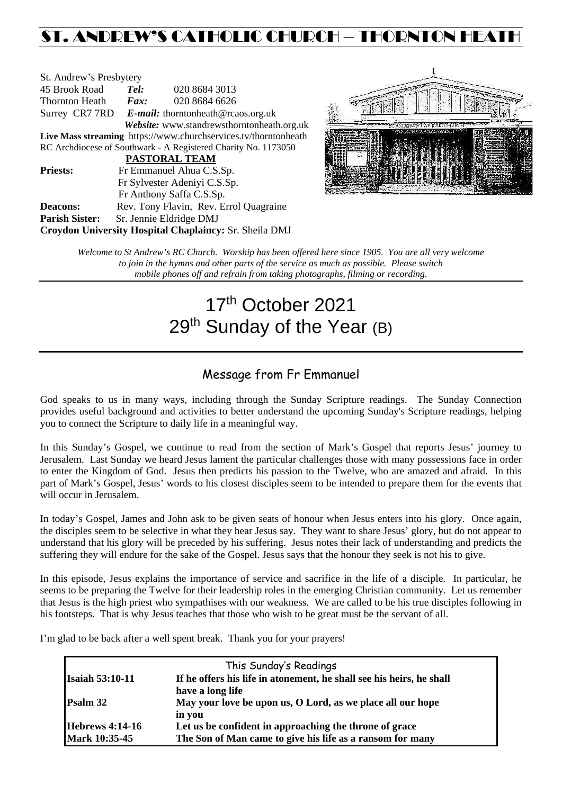## ST. ANDREW'S CATHOLIC CHURCH – THORNTON HEAT

| St. Andrew's Presbytery                                         |                                                   |                                        |  |  |  |
|-----------------------------------------------------------------|---------------------------------------------------|----------------------------------------|--|--|--|
| 45 Brook Road                                                   | Tel:                                              | 020 8684 3013                          |  |  |  |
| <b>Thornton Heath</b>                                           | $\boldsymbol{Fax:}$                               | 020 8684 6626                          |  |  |  |
|                                                                 | Surrey CR7 7RD E-mail: thorntonheath@rcaos.org.uk |                                        |  |  |  |
| Website: www.standrewsthorntonheath.org.uk                      |                                                   |                                        |  |  |  |
| Live Mass streaming https://www.churchservices.tv/thorntonheath |                                                   |                                        |  |  |  |
| RC Archdiocese of Southwark - A Registered Charity No. 1173050  |                                                   |                                        |  |  |  |
| <b>PASTORAL TEAM</b>                                            |                                                   |                                        |  |  |  |
| <b>Priests:</b>                                                 | Fr Emmanuel Ahua C.S.Sp.                          |                                        |  |  |  |
|                                                                 | Fr Sylvester Adeniyi C.S.Sp.                      |                                        |  |  |  |
|                                                                 |                                                   | Fr Anthony Saffa C.S.Sp.               |  |  |  |
| Deacons:                                                        |                                                   | Rev. Tony Flavin, Rev. Errol Quagraine |  |  |  |
| <b>Parish Sister:</b>                                           | Sr. Jennie Eldridge DMJ                           |                                        |  |  |  |
| <b>Croydon University Hospital Chaplaincy: Sr. Sheila DMJ</b>   |                                                   |                                        |  |  |  |



*Welcome to St Andrew's RC Church. Worship has been offered here since 1905. You are all very welcome to join in the hymns and other parts of the service as much as possible. Please switch mobile phones off and refrain from taking photographs, filming or recording.*

# 17<sup>th</sup> October 2021 29<sup>th</sup> Sunday of the Year (B)

### Message from Fr Emmanuel

God speaks to us in many ways, including through the Sunday Scripture readings. The Sunday Connection provides useful background and activities to better understand the upcoming Sunday's Scripture readings, helping you to connect the Scripture to daily life in a meaningful way.

In this Sunday's Gospel, we continue to read from the section of Mark's Gospel that reports Jesus' journey to Jerusalem. Last Sunday we heard Jesus lament the particular challenges those with many possessions face in order to enter the Kingdom of God. Jesus then predicts his passion to the Twelve, who are amazed and afraid. In this part of Mark's Gospel, Jesus' words to his closest disciples seem to be intended to prepare them for the events that will occur in Jerusalem.

In today's Gospel, James and John ask to be given seats of honour when Jesus enters into his glory. Once again, the disciples seem to be selective in what they hear Jesus say. They want to share Jesus' glory, but do not appear to understand that his glory will be preceded by his suffering. Jesus notes their lack of understanding and predicts the suffering they will endure for the sake of the Gospel. Jesus says that the honour they seek is not his to give.

In this episode, Jesus explains the importance of service and sacrifice in the life of a disciple. In particular, he seems to be preparing the Twelve for their leadership roles in the emerging Christian community. Let us remember that Jesus is the high priest who sympathises with our weakness. We are called to be his true disciples following in his footsteps. That is why Jesus teaches that those who wish to be great must be the servant of all.

I'm glad to be back after a well spent break. Thank you for your prayers!

| This Sunday's Readings |                                                                      |  |  |  |
|------------------------|----------------------------------------------------------------------|--|--|--|
| <b>Isaiah 53:10-11</b> | If he offers his life in atonement, he shall see his heirs, he shall |  |  |  |
|                        | have a long life                                                     |  |  |  |
| Psalm 32               | May your love be upon us, O Lord, as we place all our hope           |  |  |  |
|                        | in you                                                               |  |  |  |
| <b>Hebrews 4:14-16</b> | Let us be confident in approaching the throne of grace               |  |  |  |
| Mark 10:35-45          | The Son of Man came to give his life as a ransom for many            |  |  |  |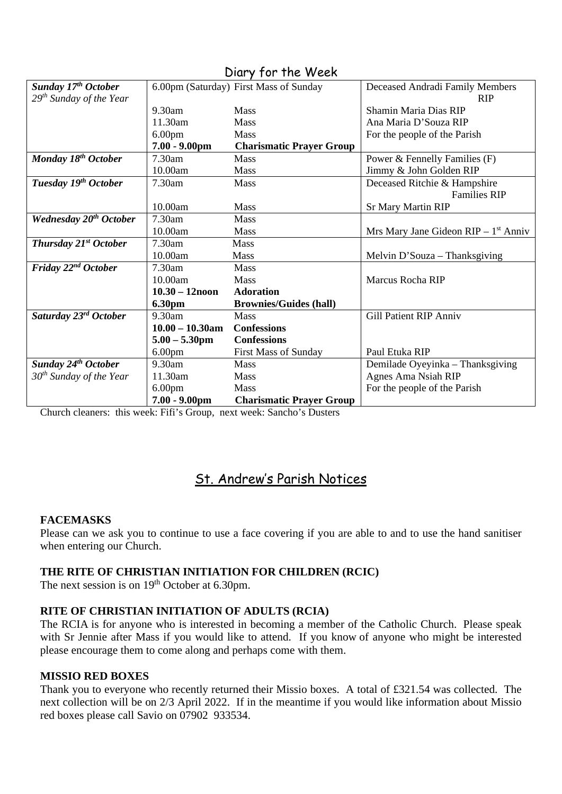| Diary for the Week                       |                    |                                        |                                        |  |  |  |
|------------------------------------------|--------------------|----------------------------------------|----------------------------------------|--|--|--|
| Sunday 17 <sup>th</sup> October          |                    | 6.00pm (Saturday) First Mass of Sunday | Deceased Andradi Family Members        |  |  |  |
| $29th$ Sunday of the Year                |                    |                                        | <b>RIP</b>                             |  |  |  |
|                                          | $9.30$ am          | <b>Mass</b>                            | Shamin Maria Dias RIP                  |  |  |  |
|                                          | 11.30am            | <b>Mass</b>                            | Ana Maria D'Souza RIP                  |  |  |  |
|                                          | 6.00 <sub>pm</sub> | <b>Mass</b>                            | For the people of the Parish           |  |  |  |
|                                          | $7.00 - 9.00$ pm   | <b>Charismatic Prayer Group</b>        |                                        |  |  |  |
| Monday 18 <sup>th</sup> October          | 7.30am             | <b>Mass</b>                            | Power & Fennelly Families (F)          |  |  |  |
|                                          | 10.00am            | <b>Mass</b>                            | Jimmy & John Golden RIP                |  |  |  |
| Tuesday 19 <sup>th</sup> October         | 7.30am             | <b>Mass</b>                            | Deceased Ritchie & Hampshire           |  |  |  |
|                                          |                    |                                        | <b>Families RIP</b>                    |  |  |  |
|                                          | 10.00am            | <b>Mass</b>                            | <b>Sr Mary Martin RIP</b>              |  |  |  |
| <b>Wednesday 20<sup>th</sup> October</b> | 7.30am             | Mass                                   |                                        |  |  |  |
|                                          | 10.00am            | Mass                                   | Mrs Mary Jane Gideon $RIP - 1st$ Anniv |  |  |  |
| Thursday 21 <sup>st</sup> October        | 7.30am             | <b>Mass</b>                            |                                        |  |  |  |
|                                          | 10.00am            | <b>Mass</b>                            | Melvin D'Souza – Thanksgiving          |  |  |  |
| Friday $22^{nd}$ October                 | 7.30am             | <b>Mass</b>                            |                                        |  |  |  |
|                                          | 10.00am            | Mass                                   | <b>Marcus Rocha RIP</b>                |  |  |  |
|                                          | $10.30 - 12$ noon  | <b>Adoration</b>                       |                                        |  |  |  |
|                                          | <b>6.30pm</b>      | <b>Brownies/Guides (hall)</b>          |                                        |  |  |  |
| Saturday 23 <sup>rd</sup> October        | 9.30am             | <b>Mass</b>                            | <b>Gill Patient RIP Anniv</b>          |  |  |  |
|                                          | $10.00 - 10.30$ am | <b>Confessions</b>                     |                                        |  |  |  |
|                                          | $5.00 - 5.30$ pm   | <b>Confessions</b>                     |                                        |  |  |  |
|                                          | 6.00 <sub>pm</sub> | <b>First Mass of Sunday</b>            | Paul Etuka RIP                         |  |  |  |
| Sunday 24 <sup>th</sup> October          | 9.30am             | <b>Mass</b>                            | Demilade Oyeyinka - Thanksgiving       |  |  |  |
| $30th$ Sunday of the Year                | 11.30am            | <b>Mass</b>                            | Agnes Ama Nsiah RIP                    |  |  |  |
|                                          | 6.00 <sub>pm</sub> | <b>Mass</b>                            | For the people of the Parish           |  |  |  |
|                                          | $7.00 - 9.00$ pm   | <b>Charismatic Prayer Group</b>        |                                        |  |  |  |

Church cleaners: this week: Fifi's Group, next week: Sancho's Dusters

## St. Andrew's Parish Notices

#### **FACEMASKS**

Please can we ask you to continue to use a face covering if you are able to and to use the hand sanitiser when entering our Church.

#### **THE RITE OF CHRISTIAN INITIATION FOR CHILDREN (RCIC)**

The next session is on 19<sup>th</sup> October at 6.30pm.

#### **RITE OF CHRISTIAN INITIATION OF ADULTS (RCIA)**

The RCIA is for anyone who is interested in becoming a member of the Catholic Church. Please speak with Sr Jennie after Mass if you would like to attend. If you know of anyone who might be interested please encourage them to come along and perhaps come with them.

#### **MISSIO RED BOXES**

Thank you to everyone who recently returned their Missio boxes. A total of £321.54 was collected. The next collection will be on 2/3 April 2022. If in the meantime if you would like information about Missio red boxes please call Savio on 07902 933534.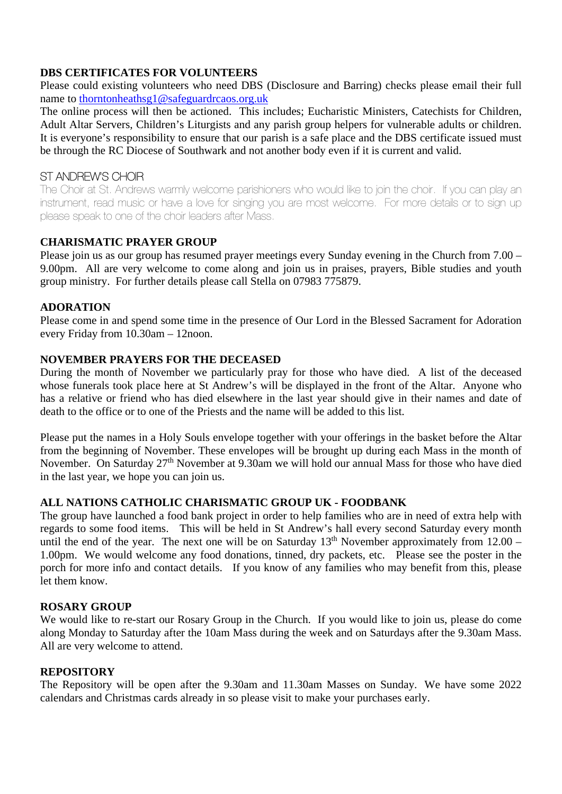#### **DBS CERTIFICATES FOR VOLUNTEERS**

Please could existing volunteers who need DBS (Disclosure and Barring) checks please email their full name to [thorntonheathsg1@safeguardrcaos.org.uk](mailto:thorntonheathsg1@safeguardrcaos.org.uk)

The online process will then be actioned. This includes; Eucharistic Ministers, Catechists for Children, Adult Altar Servers, Children's Liturgists and any parish group helpers for vulnerable adults or children. It is everyone's responsibility to ensure that our parish is a safe place and the DBS certificate issued must be through the RC Diocese of Southwark and not another body even if it is current and valid.

#### ST ANDREW'S CHOIR

The Choir at St. Andrews warmly welcome parishioners who would like to join the choir. If you can play an instrument, read music or have a love for singing you are most welcome. For more details or to sign up please speak to one of the choir leaders after Mass.

#### **CHARISMATIC PRAYER GROUP**

Please join us as our group has resumed prayer meetings every Sunday evening in the Church from 7.00 – 9.00pm. All are very welcome to come along and join us in praises, prayers, Bible studies and youth group ministry. For further details please call Stella on 07983 775879.

#### **ADORATION**

Please come in and spend some time in the presence of Our Lord in the Blessed Sacrament for Adoration every Friday from 10.30am – 12noon.

#### **NOVEMBER PRAYERS FOR THE DECEASED**

During the month of November we particularly pray for those who have died. A list of the deceased whose funerals took place here at St Andrew's will be displayed in the front of the Altar. Anyone who has a relative or friend who has died elsewhere in the last year should give in their names and date of death to the office or to one of the Priests and the name will be added to this list.

Please put the names in a Holy Souls envelope together with your offerings in the basket before the Altar from the beginning of November. These envelopes will be brought up during each Mass in the month of November. On Saturday 27<sup>th</sup> November at 9.30am we will hold our annual Mass for those who have died in the last year, we hope you can join us.

#### **ALL NATIONS CATHOLIC CHARISMATIC GROUP UK - FOODBANK**

The group have launched a food bank project in order to help families who are in need of extra help with regards to some food items. This will be held in St Andrew's hall every second Saturday every month until the end of the year. The next one will be on Saturday  $13<sup>th</sup>$  November approximately from  $12.00 -$ 1.00pm. We would welcome any food donations, tinned, dry packets, etc. Please see the poster in the porch for more info and contact details. If you know of any families who may benefit from this, please let them know.

#### **ROSARY GROUP**

We would like to re-start our Rosary Group in the Church. If you would like to join us, please do come along Monday to Saturday after the 10am Mass during the week and on Saturdays after the 9.30am Mass. All are very welcome to attend.

#### **REPOSITORY**

The Repository will be open after the 9.30am and 11.30am Masses on Sunday. We have some 2022 calendars and Christmas cards already in so please visit to make your purchases early.